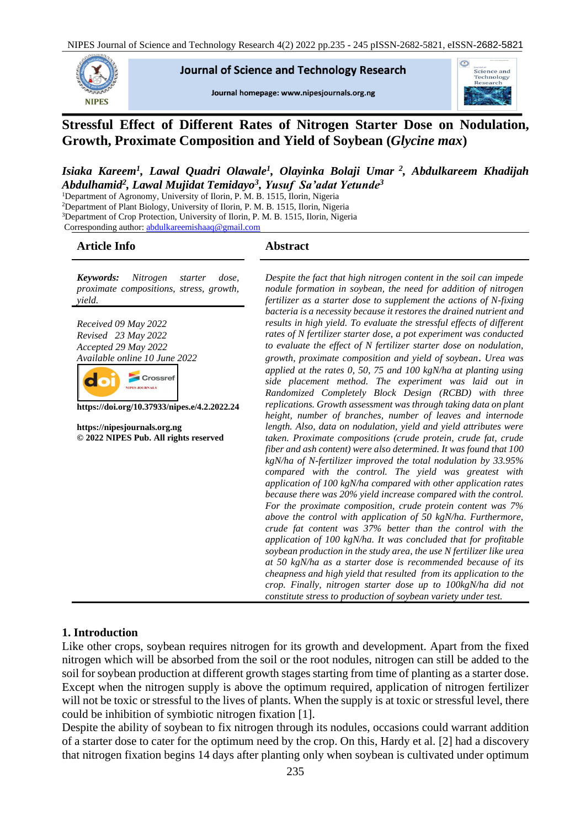NIPES Journal of Science and Technology Research 4(2) 2022 pp.235 - 245 pISSN-2682-5821, eISSN-2682-5821



**Journal of Science and Technology Research** 

Journal homepage: www.nipesjournals.org.ng



# **Stressful Effect of Different Rates of Nitrogen Starter Dose on Nodulation, Growth, Proximate Composition and Yield of Soybean (***Glycine max***)**

## *Isiaka Kareem<sup>1</sup> , Lawal Quadri Olawale<sup>1</sup> , Olayinka Bolaji Umar <sup>2</sup> , Abdulkareem Khadijah Abdulhamid<sup>2</sup> , Lawal Mujidat Temidayo<sup>3</sup> , Yusuf Sa'adat Yetunde<sup>3</sup>*

<sup>1</sup>Department of Agronomy, University of Ilorin, P. M. B. 1515, Ilorin, Nigeria

<sup>2</sup>Department of Plant Biology, University of Ilorin, P. M. B. 1515, Ilorin, Nigeria

<sup>3</sup>Department of Crop Protection, University of Ilorin, P. M. B. 1515, Ilorin, Nigeria

Corresponding author[: abdulkareemishaaq@gmail.com](mailto:abdulkareemishaaq@gmail.com)

## **Article Info Abstract**

*Keywords: Nitrogen starter dose, proximate compositions, stress, growth, yield.*

*Received 09 May 2022 Revised 23 May 2022 Accepted 29 May 2022 Available online 10 June 2022*



**https://doi.org/10.37933/nipes.e/4.2.2022.24**

**https://nipesjournals.org.ng © 2022 NIPES Pub. All rights reserved**

*Despite the fact that high nitrogen content in the soil can impede nodule formation in soybean, the need for addition of nitrogen fertilizer as a starter dose to supplement the actions of N-fixing bacteria is a necessity because it restores the drained nutrient and results in high yield. To evaluate the stressful effects of different rates of N fertilizer starter dose, a pot experiment was conducted to evaluate the effect of N fertilizer starter dose on nodulation, growth, proximate composition and yield of soybean*. *Urea was applied at the rates 0, 50, 75 and 100 kgN/ha at planting using side placement method. The experiment was laid out in Randomized Completely Block Design (RCBD) with three replications. Growth assessment was through taking data on plant height, number of branches, number of leaves and internode length. Also, data on nodulation, yield and yield attributes were taken. Proximate compositions (crude protein, crude fat, crude fiber and ash content) were also determined. It was found that 100 kgN/ha of N-fertilizer improved the total nodulation by 33.95% compared with the control. The yield was greatest with application of 100 kgN/ha compared with other application rates because there was 20% yield increase compared with the control. For the proximate composition, crude protein content was 7% above the control with application of 50 kgN/ha. Furthermore, crude fat content was 37% better than the control with the application of 100 kgN/ha. It was concluded that for profitable soybean production in the study area, the use N fertilizer like urea at 50 kgN/ha as a starter dose is recommended because of its cheapness and high yield that resulted from its application to the crop. Finally, nitrogen starter dose up to 100kgN/ha did not constitute stress to production of soybean variety under test.* 

#### **1. Introduction**

Like other crops, soybean requires nitrogen for its growth and development. Apart from the fixed nitrogen which will be absorbed from the soil or the root nodules, nitrogen can still be added to the soil for soybean production at different growth stages starting from time of planting as a starter dose. Except when the nitrogen supply is above the optimum required, application of nitrogen fertilizer will not be toxic or stressful to the lives of plants. When the supply is at toxic or stressful level, there could be inhibition of symbiotic nitrogen fixation [1].

Despite the ability of soybean to fix nitrogen through its nodules, occasions could warrant addition of a starter dose to cater for the optimum need by the crop. On this, Hardy et al. [2] had a discovery that nitrogen fixation begins 14 days after planting only when soybean is cultivated under optimum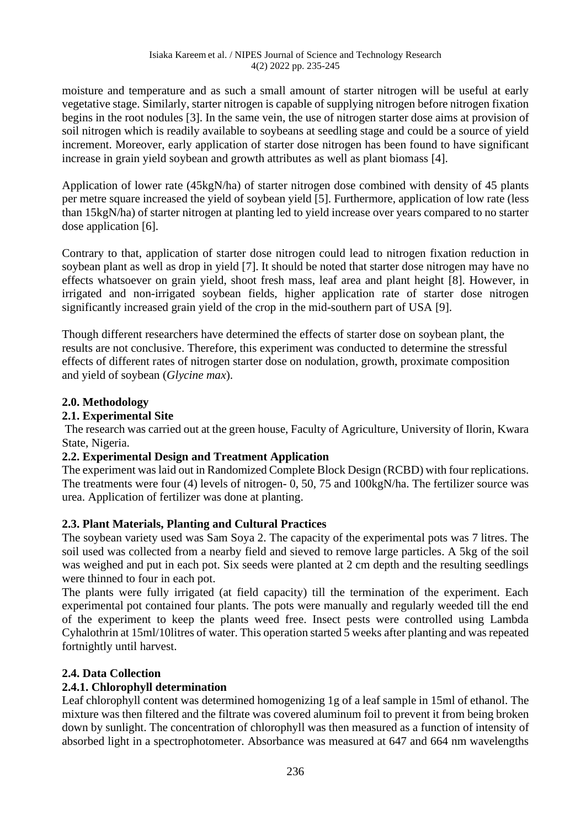moisture and temperature and as such a small amount of starter nitrogen will be useful at early vegetative stage. Similarly, starter nitrogen is capable of supplying nitrogen before nitrogen fixation begins in the root nodules [3]. In the same vein, the use of nitrogen starter dose aims at provision of soil nitrogen which is readily available to soybeans at seedling stage and could be a source of yield increment. Moreover, early application of starter dose nitrogen has been found to have significant increase in grain yield soybean and growth attributes as well as plant biomass [4].

Application of lower rate (45kgN/ha) of starter nitrogen dose combined with density of 45 plants per metre square increased the yield of soybean yield [5]. Furthermore, application of low rate (less than 15kgN/ha) of starter nitrogen at planting led to yield increase over years compared to no starter dose application [6].

Contrary to that, application of starter dose nitrogen could lead to nitrogen fixation reduction in soybean plant as well as drop in yield [7]. It should be noted that starter dose nitrogen may have no effects whatsoever on grain yield, shoot fresh mass, leaf area and plant height [8]. However, in irrigated and non-irrigated soybean fields, higher application rate of starter dose nitrogen significantly increased grain yield of the crop in the mid-southern part of USA [9].

Though different researchers have determined the effects of starter dose on soybean plant, the results are not conclusive. Therefore, this experiment was conducted to determine the stressful effects of different rates of nitrogen starter dose on nodulation, growth, proximate composition and yield of soybean (*Glycine max*).

## **2.0. Methodology**

## **2.1. Experimental Site**

The research was carried out at the green house, Faculty of Agriculture, University of Ilorin, Kwara State, Nigeria.

## **2.2. Experimental Design and Treatment Application**

The experiment was laid out in Randomized Complete Block Design (RCBD) with four replications. The treatments were four (4) levels of nitrogen- 0, 50, 75 and 100kgN/ha. The fertilizer source was urea. Application of fertilizer was done at planting.

## **2.3. Plant Materials, Planting and Cultural Practices**

The soybean variety used was Sam Soya 2. The capacity of the experimental pots was 7 litres. The soil used was collected from a nearby field and sieved to remove large particles. A 5kg of the soil was weighed and put in each pot. Six seeds were planted at 2 cm depth and the resulting seedlings were thinned to four in each pot.

The plants were fully irrigated (at field capacity) till the termination of the experiment. Each experimental pot contained four plants. The pots were manually and regularly weeded till the end of the experiment to keep the plants weed free. Insect pests were controlled using Lambda Cyhalothrin at 15ml/10litres of water. This operation started 5 weeks after planting and was repeated fortnightly until harvest.

# **2.4. Data Collection**

# **2.4.1. Chlorophyll determination**

Leaf chlorophyll content was determined homogenizing 1g of a leaf sample in 15ml of ethanol. The mixture was then filtered and the filtrate was covered aluminum foil to prevent it from being broken down by sunlight. The concentration of chlorophyll was then measured as a function of intensity of absorbed light in a spectrophotometer. Absorbance was measured at 647 and 664 nm wavelengths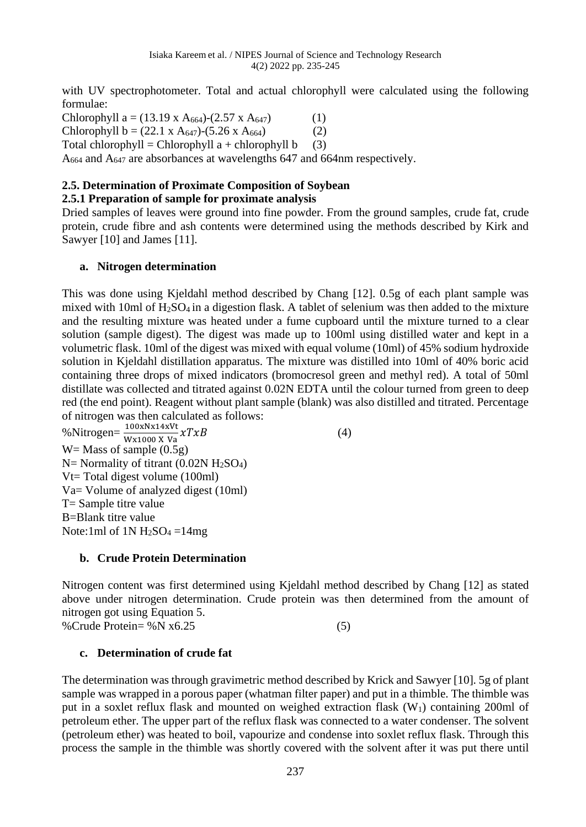with UV spectrophotometer. Total and actual chlorophyll were calculated using the following formulae:

Chlorophyll a =  $(13.19 \text{ x A}_{664})$ - $(2.57 \text{ x A}_{647})$  (1) Chlorophyll b =  $(22.1 \times A_{647})$ - $(5.26 \times A_{664})$  (2) Total chlorophyll = Chlorophyll  $a +$ chlorophyll  $b$  (3) A<sub>664</sub> and A<sub>647</sub> are absorbances at wavelengths 647 and 664nm respectively.

# **2.5. Determination of Proximate Composition of Soybean**

## **2.5.1 Preparation of sample for proximate analysis**

Dried samples of leaves were ground into fine powder. From the ground samples, crude fat, crude protein, crude fibre and ash contents were determined using the methods described by Kirk and Sawyer [10] and James [11].

## **a. Nitrogen determination**

This was done using Kjeldahl method described by Chang [12]. 0.5g of each plant sample was mixed with 10ml of  $H_2SO_4$  in a digestion flask. A tablet of selenium was then added to the mixture and the resulting mixture was heated under a fume cupboard until the mixture turned to a clear solution (sample digest). The digest was made up to 100ml using distilled water and kept in a volumetric flask. 10ml of the digest was mixed with equal volume (10ml) of 45% sodium hydroxide solution in Kjeldahl distillation apparatus. The mixture was distilled into 10ml of 40% boric acid containing three drops of mixed indicators (bromocresol green and methyl red). A total of 50ml distillate was collected and titrated against 0.02N EDTA until the colour turned from green to deep red (the end point). Reagent without plant sample (blank) was also distilled and titrated. Percentage of nitrogen was then calculated as follows:

%Nitrogen= $\frac{100 \times N \times 14 \times Vt}{W \times 1000 \times Va} \times T \times B$  (4)  $W =$  Mass of sample  $(0.5g)$  $N=$  Normality of titrant (0.02N  $H<sub>2</sub>SO<sub>4</sub>$ ) Vt= Total digest volume (100ml) Va= Volume of analyzed digest (10ml) T= Sample titre value B=Blank titre value Note:1ml of  $1N H_2SO_4 = 14mg$ 

## **b. Crude Protein Determination**

Nitrogen content was first determined using Kjeldahl method described by Chang [12] as stated above under nitrogen determination. Crude protein was then determined from the amount of nitrogen got using Equation 5.

%Crude Protein=  $\%$ N x6.25 (5)

# **c. Determination of crude fat**

The determination was through gravimetric method described by Krick and Sawyer [10]. 5g of plant sample was wrapped in a porous paper (whatman filter paper) and put in a thimble. The thimble was put in a soxlet reflux flask and mounted on weighed extraction flask  $(W_1)$  containing 200ml of petroleum ether. The upper part of the reflux flask was connected to a water condenser. The solvent (petroleum ether) was heated to boil, vapourize and condense into soxlet reflux flask. Through this process the sample in the thimble was shortly covered with the solvent after it was put there until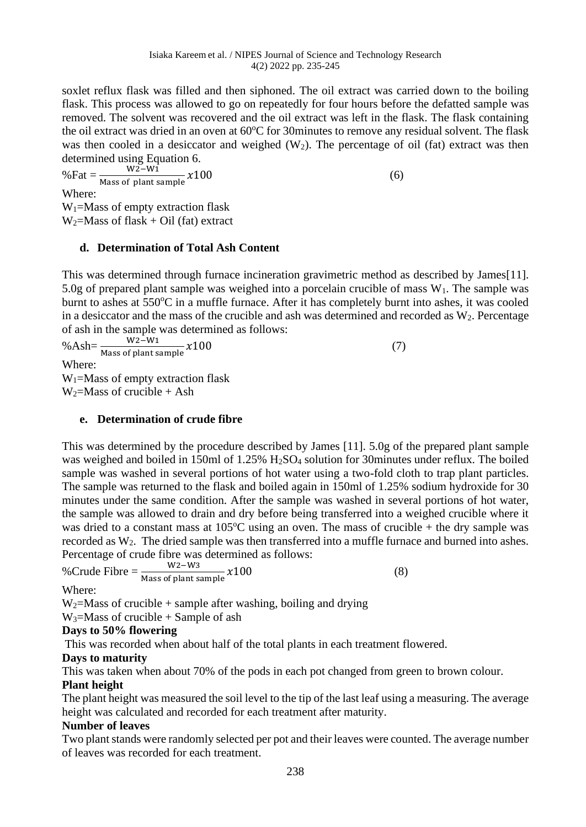soxlet reflux flask was filled and then siphoned. The oil extract was carried down to the boiling flask. This process was allowed to go on repeatedly for four hours before the defatted sample was removed. The solvent was recovered and the oil extract was left in the flask. The flask containing the oil extract was dried in an oven at  $60^{\circ}$ C for 30minutes to remove any residual solvent. The flask was then cooled in a desiccator and weighed  $(W_2)$ . The percentage of oil (fat) extract was then determined using Equation 6.<br> $W2-W1$ 

 $% \text{Fat} = \frac{W2-W1}{Mass of plant sample} \times 100$  (6) Where:  $W_1$ =Mass of empty extraction flask  $W_2$ =Mass of flask + Oil (fat) extract

## **d. Determination of Total Ash Content**

This was determined through furnace incineration gravimetric method as described by James[11]. 5.0g of prepared plant sample was weighed into a porcelain crucible of mass  $W_1$ . The sample was burnt to ashes at 550°C in a muffle furnace. After it has completely burnt into ashes, it was cooled in a desiccator and the mass of the crucible and ash was determined and recorded as  $W_2$ . Percentage of ash in the sample was determined as follows:<br> $\frac{W^2-W^1}{W^2-W^1}$ 

% Ash= $\frac{W2-W1}{Mass \text{ of plant sample}} x100$  (7) Where:  $W_1$ =Mass of empty extraction flask  $W_2$ =Mass of crucible + Ash

## **e. Determination of crude fibre**

This was determined by the procedure described by James [11]. 5.0g of the prepared plant sample was weighed and boiled in 150ml of  $1.25\%$  H<sub>2</sub>SO<sub>4</sub> solution for 30minutes under reflux. The boiled sample was washed in several portions of hot water using a two-fold cloth to trap plant particles. The sample was returned to the flask and boiled again in 150ml of 1.25% sodium hydroxide for 30 minutes under the same condition. After the sample was washed in several portions of hot water, the sample was allowed to drain and dry before being transferred into a weighed crucible where it was dried to a constant mass at  $105^{\circ}$ C using an oven. The mass of crucible + the dry sample was recorded as W<sub>2</sub>. The dried sample was then transferred into a muffle furnace and burned into ashes. Percentage of crude fibre was determined as follows:

%Crude Fibre = 
$$
\frac{W^2-W^3}{\text{Mass of plant sample}} \chi 100
$$
 (8)

Where:

 $W_2$ =Mass of crucible + sample after washing, boiling and drying

 $W_3 = Mass$  of crucible + Sample of ash

## **Days to 50% flowering**

This was recorded when about half of the total plants in each treatment flowered.

## **Days to maturity**

This was taken when about 70% of the pods in each pot changed from green to brown colour.

## **Plant height**

The plant height was measured the soil level to the tip of the last leaf using a measuring. The average height was calculated and recorded for each treatment after maturity.

#### **Number of leaves**

Two plant stands were randomly selected per pot and their leaves were counted. The average number of leaves was recorded for each treatment.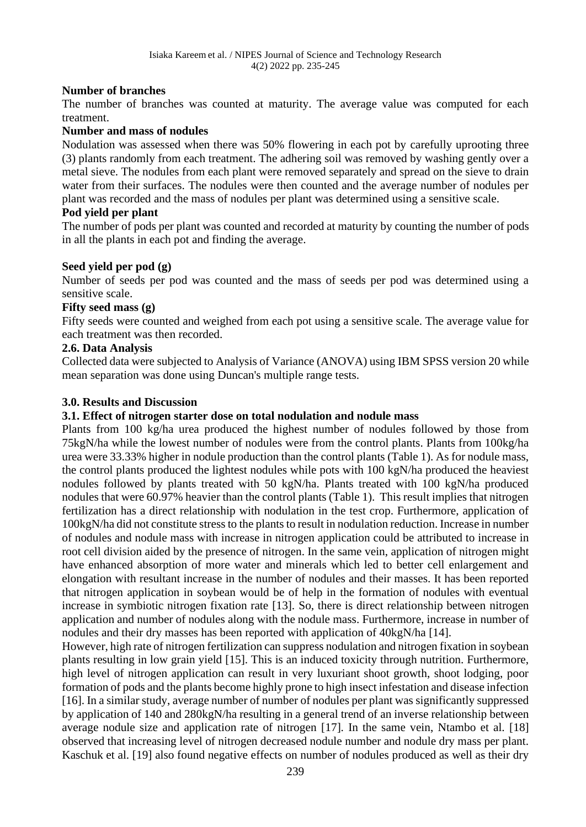## **Number of branches**

The number of branches was counted at maturity. The average value was computed for each treatment.

#### **Number and mass of nodules**

Nodulation was assessed when there was 50% flowering in each pot by carefully uprooting three (3) plants randomly from each treatment. The adhering soil was removed by washing gently over a metal sieve. The nodules from each plant were removed separately and spread on the sieve to drain water from their surfaces. The nodules were then counted and the average number of nodules per plant was recorded and the mass of nodules per plant was determined using a sensitive scale.

## **Pod yield per plant**

The number of pods per plant was counted and recorded at maturity by counting the number of pods in all the plants in each pot and finding the average.

## **Seed yield per pod (g)**

Number of seeds per pod was counted and the mass of seeds per pod was determined using a sensitive scale.

## **Fifty seed mass (g)**

Fifty seeds were counted and weighed from each pot using a sensitive scale. The average value for each treatment was then recorded.

## **2.6. Data Analysis**

Collected data were subjected to Analysis of Variance (ANOVA) using IBM SPSS version 20 while mean separation was done using Duncan's multiple range tests.

## **3.0. Results and Discussion**

### **3.1. Effect of nitrogen starter dose on total nodulation and nodule mass**

Plants from 100 kg/ha urea produced the highest number of nodules followed by those from 75kgN/ha while the lowest number of nodules were from the control plants. Plants from 100kg/ha urea were 33.33% higher in nodule production than the control plants (Table 1). As for nodule mass, the control plants produced the lightest nodules while pots with 100 kgN/ha produced the heaviest nodules followed by plants treated with 50 kgN/ha. Plants treated with 100 kgN/ha produced nodules that were 60.97% heavier than the control plants (Table 1). This result implies that nitrogen fertilization has a direct relationship with nodulation in the test crop. Furthermore, application of 100kgN/ha did not constitute stress to the plants to result in nodulation reduction. Increase in number of nodules and nodule mass with increase in nitrogen application could be attributed to increase in root cell division aided by the presence of nitrogen. In the same vein, application of nitrogen might have enhanced absorption of more water and minerals which led to better cell enlargement and elongation with resultant increase in the number of nodules and their masses. It has been reported that nitrogen application in soybean would be of help in the formation of nodules with eventual increase in symbiotic nitrogen fixation rate [13]. So, there is direct relationship between nitrogen application and number of nodules along with the nodule mass. Furthermore, increase in number of nodules and their dry masses has been reported with application of 40kgN/ha [14].

However, high rate of nitrogen fertilization can suppress nodulation and nitrogen fixation in soybean plants resulting in low grain yield [15]. This is an induced toxicity through nutrition. Furthermore, high level of nitrogen application can result in very luxuriant shoot growth, shoot lodging, poor formation of pods and the plants become highly prone to high insect infestation and disease infection [16]. In a similar study, average number of number of nodules per plant was significantly suppressed by application of 140 and 280kgN/ha resulting in a general trend of an inverse relationship between average nodule size and application rate of nitrogen [17]. In the same vein, Ntambo et al. [18] observed that increasing level of nitrogen decreased nodule number and nodule dry mass per plant. Kaschuk et al. [19] also found negative effects on number of nodules produced as well as their dry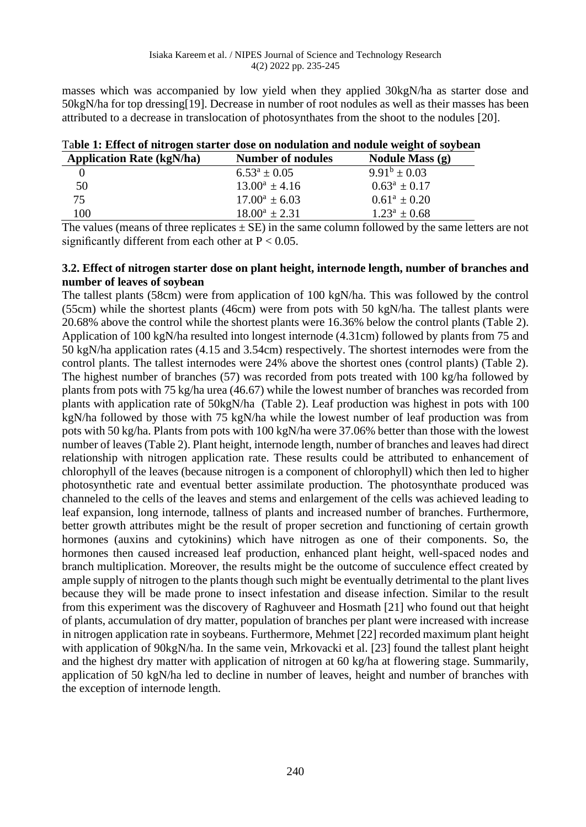masses which was accompanied by low yield when they applied 30kgN/ha as starter dose and 50kgN/ha for top dressing[19]. Decrease in number of root nodules as well as their masses has been attributed to a decrease in translocation of photosynthates from the shoot to the nodules [20].

| Table 1. Effect of fittingen starter dose on houdiation and hought weight of soybear |                          |                        |  |  |  |  |
|--------------------------------------------------------------------------------------|--------------------------|------------------------|--|--|--|--|
| <b>Application Rate (kgN/ha)</b>                                                     | <b>Number of nodules</b> | <b>Nodule Mass (g)</b> |  |  |  |  |
|                                                                                      | $6.53^a \pm 0.05$        | $9.91^b \pm 0.03$      |  |  |  |  |
| 50                                                                                   | $13.00^a \pm 4.16$       | $0.63^a \pm 0.17$      |  |  |  |  |
| 75                                                                                   | $17.00^a \pm 6.03$       | $0.61^a + 0.20$        |  |  |  |  |
| 100                                                                                  | $18.00^a \pm 2.31$       | $1.23^a \pm 0.68$      |  |  |  |  |
|                                                                                      |                          |                        |  |  |  |  |

The values (means of three replicates  $\pm$  SE) in the same column followed by the same letters are not significantly different from each other at  $P < 0.05$ .

### **3.2. Effect of nitrogen starter dose on plant height, internode length, number of branches and number of leaves of soybean**

The tallest plants (58cm) were from application of 100 kgN/ha. This was followed by the control (55cm) while the shortest plants (46cm) were from pots with 50 kgN/ha. The tallest plants were 20.68% above the control while the shortest plants were 16.36% below the control plants (Table 2). Application of 100 kgN/ha resulted into longest internode (4.31cm) followed by plants from 75 and 50 kgN/ha application rates (4.15 and 3.54cm) respectively. The shortest internodes were from the control plants. The tallest internodes were 24% above the shortest ones (control plants) (Table 2). The highest number of branches (57) was recorded from pots treated with 100 kg/ha followed by plants from pots with 75 kg/ha urea (46.67) while the lowest number of branches was recorded from plants with application rate of 50kgN/ha (Table 2). Leaf production was highest in pots with 100 kgN/ha followed by those with 75 kgN/ha while the lowest number of leaf production was from pots with 50 kg/ha. Plants from pots with 100 kgN/ha were 37.06% better than those with the lowest number of leaves (Table 2). Plant height, internode length, number of branches and leaves had direct relationship with nitrogen application rate. These results could be attributed to enhancement of chlorophyll of the leaves (because nitrogen is a component of chlorophyll) which then led to higher photosynthetic rate and eventual better assimilate production. The photosynthate produced was channeled to the cells of the leaves and stems and enlargement of the cells was achieved leading to leaf expansion, long internode, tallness of plants and increased number of branches. Furthermore, better growth attributes might be the result of proper secretion and functioning of certain growth hormones (auxins and cytokinins) which have nitrogen as one of their components. So, the hormones then caused increased leaf production, enhanced plant height, well-spaced nodes and branch multiplication. Moreover, the results might be the outcome of succulence effect created by ample supply of nitrogen to the plants though such might be eventually detrimental to the plant lives because they will be made prone to insect infestation and disease infection. Similar to the result from this experiment was the discovery of Raghuveer and Hosmath [21] who found out that height of plants, accumulation of dry matter, population of branches per plant were increased with increase in nitrogen application rate in soybeans. Furthermore, Mehmet [22] recorded maximum plant height with application of 90kgN/ha. In the same vein, Mrkovacki et al. [23] found the tallest plant height and the highest dry matter with application of nitrogen at 60 kg/ha at flowering stage. Summarily, application of 50 kgN/ha led to decline in number of leaves, height and number of branches with the exception of internode length.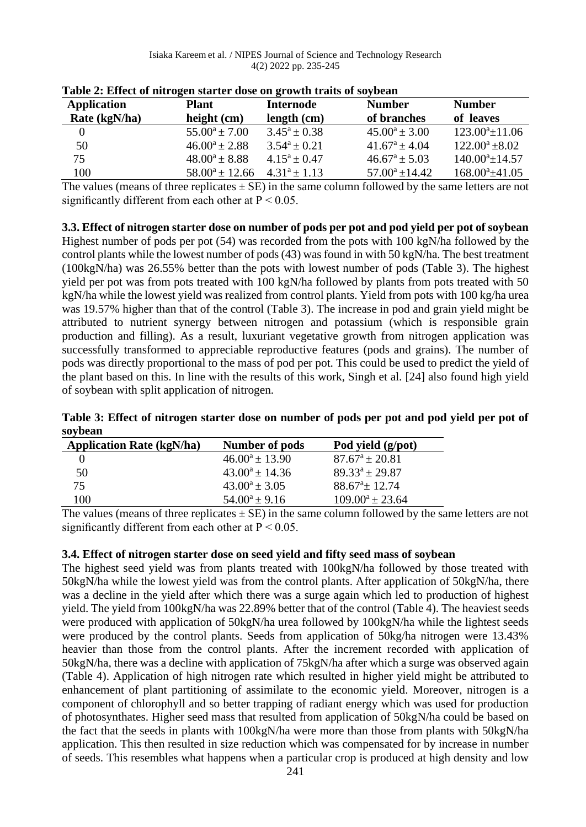| <b>Application</b> | <b>Plant</b>        | <b>Internode</b>  | <b>Number</b>            | <b>Number</b>        |
|--------------------|---------------------|-------------------|--------------------------|----------------------|
| Rate (kgN/ha)      | height $(cm)$       | length (cm)       | of branches              | of leaves            |
| $\theta$           | $55.00^a \pm 7.00$  | $3.45^a \pm 0.38$ | $45.00^a \pm 3.00$       | $123.00^a \pm 11.06$ |
| 50                 | $46.00^a \pm 2.88$  | $3.54^a \pm 0.21$ | $41.67^a \pm 4.04$       | $122.00^a \pm 8.02$  |
| 75                 | $48.00^a \pm 8.88$  | $4.15^a \pm 0.47$ | $46.67^{\rm a} \pm 5.03$ | $140.00^a \pm 14.57$ |
| 100                | $58.00^a \pm 12.66$ | $4.31^a \pm 1.13$ | $57.00^a \pm 14.42$      | $168.00^a \pm 41.05$ |

|  |  |  | Table 2: Effect of nitrogen starter dose on growth traits of soybean |
|--|--|--|----------------------------------------------------------------------|
|  |  |  |                                                                      |

The values (means of three replicates  $\pm$  SE) in the same column followed by the same letters are not significantly different from each other at  $P < 0.05$ .

**3.3. Effect of nitrogen starter dose on number of pods per pot and pod yield per pot of soybean** Highest number of pods per pot (54) was recorded from the pots with 100 kgN/ha followed by the control plants while the lowest number of pods (43) was found in with 50 kgN/ha. The best treatment (100kgN/ha) was 26.55% better than the pots with lowest number of pods (Table 3). The highest yield per pot was from pots treated with 100 kgN/ha followed by plants from pots treated with 50 kgN/ha while the lowest yield was realized from control plants. Yield from pots with 100 kg/ha urea was 19.57% higher than that of the control (Table 3). The increase in pod and grain yield might be attributed to nutrient synergy between nitrogen and potassium (which is responsible grain production and filling). As a result, luxuriant vegetative growth from nitrogen application was successfully transformed to appreciable reproductive features (pods and grains). The number of pods was directly proportional to the mass of pod per pot. This could be used to predict the yield of the plant based on this. In line with the results of this work, Singh et al. [24] also found high yield of soybean with split application of nitrogen.

|         | Table 3: Effect of nitrogen starter dose on number of pods per pot and pod yield per pot of |  |  |  |
|---------|---------------------------------------------------------------------------------------------|--|--|--|
| soybean |                                                                                             |  |  |  |

| <b>Application Rate (kgN/ha)</b> | Number of pods      | Pod yield (g/pot)       |
|----------------------------------|---------------------|-------------------------|
|                                  | $46.00^a \pm 13.90$ | $87.67^{\circ} + 20.81$ |
| 50                               | $43.00^a + 14.36$   | $89.33^a + 29.87$       |
| 75                               | $43.00^a \pm 3.05$  | $88.67^{\circ}$ ± 12.74 |
| 100                              | $54.00^a \pm 9.16$  | $109.00^a \pm 23.64$    |

The values (means of three replicates  $\pm$  SE) in the same column followed by the same letters are not significantly different from each other at  $P < 0.05$ .

### **3.4. Effect of nitrogen starter dose on seed yield and fifty seed mass of soybean**

The highest seed yield was from plants treated with 100kgN/ha followed by those treated with 50kgN/ha while the lowest yield was from the control plants. After application of 50kgN/ha, there was a decline in the yield after which there was a surge again which led to production of highest yield. The yield from 100kgN/ha was 22.89% better that of the control (Table 4). The heaviest seeds were produced with application of 50kgN/ha urea followed by 100kgN/ha while the lightest seeds were produced by the control plants. Seeds from application of 50kg/ha nitrogen were 13.43% heavier than those from the control plants. After the increment recorded with application of 50kgN/ha, there was a decline with application of 75kgN/ha after which a surge was observed again (Table 4). Application of high nitrogen rate which resulted in higher yield might be attributed to enhancement of plant partitioning of assimilate to the economic yield. Moreover, nitrogen is a component of chlorophyll and so better trapping of radiant energy which was used for production of photosynthates. Higher seed mass that resulted from application of 50kgN/ha could be based on the fact that the seeds in plants with 100kgN/ha were more than those from plants with 50kgN/ha application. This then resulted in size reduction which was compensated for by increase in number of seeds. This resembles what happens when a particular crop is produced at high density and low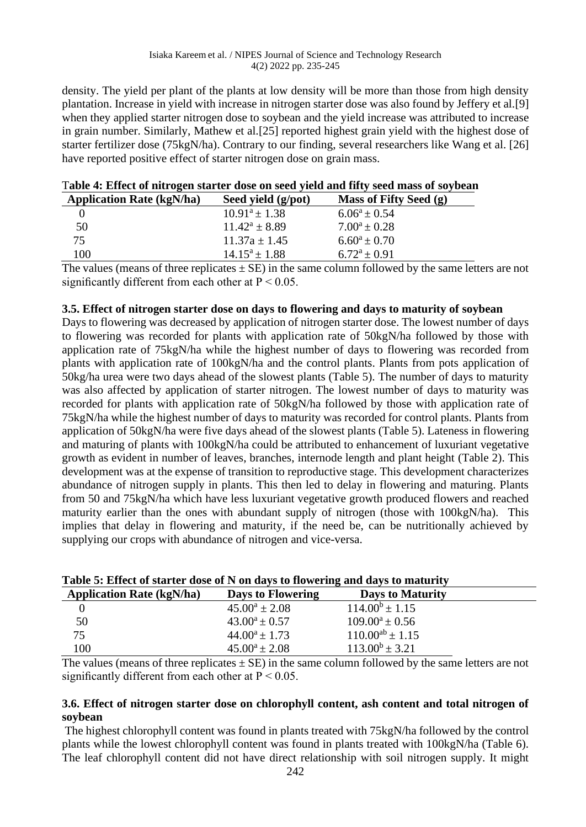density. The yield per plant of the plants at low density will be more than those from high density plantation. Increase in yield with increase in nitrogen starter dose was also found by Jeffery et al.[9] when they applied starter nitrogen dose to soybean and the yield increase was attributed to increase in grain number. Similarly, Mathew et al.[25] reported highest grain yield with the highest dose of starter fertilizer dose (75kgN/ha). Contrary to our finding, several researchers like Wang et al. [26] have reported positive effect of starter nitrogen dose on grain mass.

| THEN IT EXTREME OF HIGH ORDITIONS CODE OF DECK THEIR HIGH DECK HIGHS OF BOTTOM |                        |
|--------------------------------------------------------------------------------|------------------------|
| <b>Application Rate (kgN/ha)</b><br>Seed yield (g/pot)                         | Mass of Fifty Seed (g) |
| $10.91^a \pm 1.38$<br>$6.06^a \pm 0.54$                                        |                        |
| 50<br>$7.00^a \pm 0.28$<br>$11.42^a \pm 8.89$                                  |                        |
| $6.60^a \pm 0.70$<br>$11.37a \pm 1.45$<br>75                                   |                        |
| 100<br>$14.15^a \pm 1.88$<br>$6.72^a \pm 0.91$                                 |                        |

The values (means of three replicates  $\pm$  SE) in the same column followed by the same letters are not significantly different from each other at  $P < 0.05$ .

#### **3.5. Effect of nitrogen starter dose on days to flowering and days to maturity of soybean**

Days to flowering was decreased by application of nitrogen starter dose. The lowest number of days to flowering was recorded for plants with application rate of 50kgN/ha followed by those with application rate of 75kgN/ha while the highest number of days to flowering was recorded from plants with application rate of 100kgN/ha and the control plants. Plants from pots application of 50kg/ha urea were two days ahead of the slowest plants (Table 5). The number of days to maturity was also affected by application of starter nitrogen. The lowest number of days to maturity was recorded for plants with application rate of 50kgN/ha followed by those with application rate of 75kgN/ha while the highest number of days to maturity was recorded for control plants. Plants from application of 50kgN/ha were five days ahead of the slowest plants (Table 5). Lateness in flowering and maturing of plants with 100kgN/ha could be attributed to enhancement of luxuriant vegetative growth as evident in number of leaves, branches, internode length and plant height (Table 2). This development was at the expense of transition to reproductive stage. This development characterizes abundance of nitrogen supply in plants. This then led to delay in flowering and maturing. Plants from 50 and 75kgN/ha which have less luxuriant vegetative growth produced flowers and reached maturity earlier than the ones with abundant supply of nitrogen (those with 100kgN/ha). This implies that delay in flowering and maturity, if the need be, can be nutritionally achieved by supplying our crops with abundance of nitrogen and vice-versa.

| Table of Effect of Starter above of in on aans to howering and dans to maturity |                    |                         |  |
|---------------------------------------------------------------------------------|--------------------|-------------------------|--|
| <b>Application Rate (kgN/ha)</b>                                                | Days to Flowering  | <b>Days to Maturity</b> |  |
|                                                                                 | $45.00^a \pm 2.08$ | $114.00^b \pm 1.15$     |  |
| 50                                                                              | $43.00^a \pm 0.57$ | $109.00^a \pm 0.56$     |  |
| 75                                                                              | $44.00^a \pm 1.73$ | $110.00^{ab} \pm 1.15$  |  |
| 100                                                                             | $45.00^a \pm 2.08$ | $113.00^b \pm 3.21$     |  |

|  |  |  |  | Table 5: Effect of starter dose of N on days to flowering and days to maturity |
|--|--|--|--|--------------------------------------------------------------------------------|
|  |  |  |  |                                                                                |

The values (means of three replicates  $\pm$  SE) in the same column followed by the same letters are not significantly different from each other at  $P < 0.05$ .

#### **3.6. Effect of nitrogen starter dose on chlorophyll content, ash content and total nitrogen of soybean**

The highest chlorophyll content was found in plants treated with 75kgN/ha followed by the control plants while the lowest chlorophyll content was found in plants treated with 100kgN/ha (Table 6). The leaf chlorophyll content did not have direct relationship with soil nitrogen supply. It might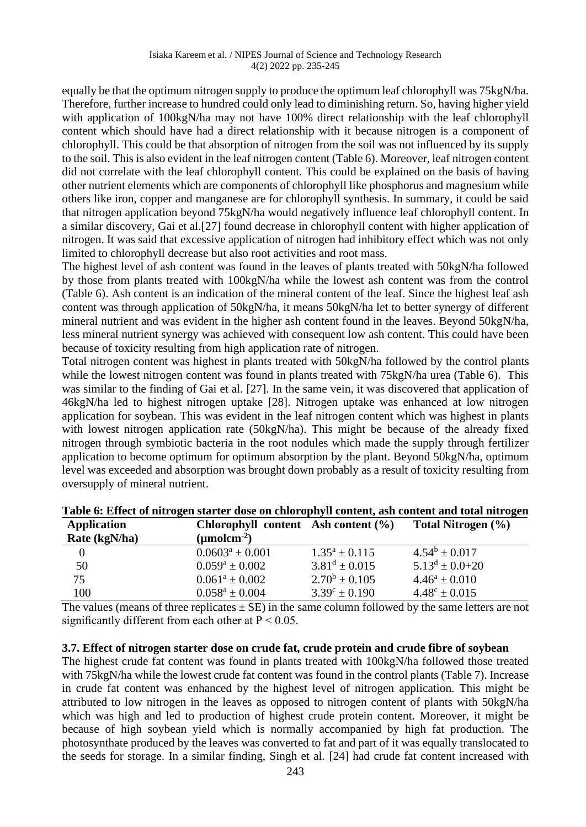equally be that the optimum nitrogen supply to produce the optimum leaf chlorophyll was 75kgN/ha. Therefore, further increase to hundred could only lead to diminishing return. So, having higher yield with application of 100kgN/ha may not have 100% direct relationship with the leaf chlorophyll content which should have had a direct relationship with it because nitrogen is a component of chlorophyll. This could be that absorption of nitrogen from the soil was not influenced by its supply to the soil. This is also evident in the leaf nitrogen content (Table 6). Moreover, leaf nitrogen content did not correlate with the leaf chlorophyll content. This could be explained on the basis of having other nutrient elements which are components of chlorophyll like phosphorus and magnesium while others like iron, copper and manganese are for chlorophyll synthesis. In summary, it could be said that nitrogen application beyond 75kgN/ha would negatively influence leaf chlorophyll content. In a similar discovery, Gai et al.[27] found decrease in chlorophyll content with higher application of nitrogen. It was said that excessive application of nitrogen had inhibitory effect which was not only limited to chlorophyll decrease but also root activities and root mass.

The highest level of ash content was found in the leaves of plants treated with 50kgN/ha followed by those from plants treated with 100kgN/ha while the lowest ash content was from the control (Table 6). Ash content is an indication of the mineral content of the leaf. Since the highest leaf ash content was through application of 50kgN/ha, it means 50kgN/ha let to better synergy of different mineral nutrient and was evident in the higher ash content found in the leaves. Beyond 50kgN/ha, less mineral nutrient synergy was achieved with consequent low ash content. This could have been because of toxicity resulting from high application rate of nitrogen.

Total nitrogen content was highest in plants treated with 50kgN/ha followed by the control plants while the lowest nitrogen content was found in plants treated with 75kgN/ha urea (Table 6). This was similar to the finding of Gai et al. [27]. In the same vein, it was discovered that application of 46kgN/ha led to highest nitrogen uptake [28]. Nitrogen uptake was enhanced at low nitrogen application for soybean. This was evident in the leaf nitrogen content which was highest in plants with lowest nitrogen application rate (50kgN/ha). This might be because of the already fixed nitrogen through symbiotic bacteria in the root nodules which made the supply through fertilizer application to become optimum for optimum absorption by the plant. Beyond 50kgN/ha, optimum level was exceeded and absorption was brought down probably as a result of toxicity resulting from oversupply of mineral nutrient.

| <b>Application</b> | Chlorophyll content Ash content $(\% )$ |                          | Total Nitrogen (%)       |
|--------------------|-----------------------------------------|--------------------------|--------------------------|
| Rate (kgN/ha)      | $(\mu \text{mol} \text{cm}^{-2})$       |                          |                          |
| $\vert 0 \vert$    | $0.0603^a \pm 0.001$                    | $1.35^a \pm 0.115$       | $4.54^b \pm 0.017$       |
| 50                 | $0.059^a \pm 0.002$                     | $3.81^d \pm 0.015$       | $5.13^d \pm 0.0 + 20$    |
| 75                 | $0.061^a \pm 0.002$                     | $2.70^b \pm 0.105$       | $4.46^a \pm 0.010$       |
| 100                | $0.058^a \pm 0.004$                     | $3.39^{\circ} \pm 0.190$ | $4.48^{\circ} \pm 0.015$ |

|  |  |  | Table 6: Effect of nitrogen starter dose on chlorophyll content, ash content and total nitrogen |  |  |  |  |
|--|--|--|-------------------------------------------------------------------------------------------------|--|--|--|--|
|--|--|--|-------------------------------------------------------------------------------------------------|--|--|--|--|

The values (means of three replicates  $\pm$  SE) in the same column followed by the same letters are not significantly different from each other at  $P < 0.05$ .

#### **3.7. Effect of nitrogen starter dose on crude fat, crude protein and crude fibre of soybean**

The highest crude fat content was found in plants treated with 100kgN/ha followed those treated with 75kgN/ha while the lowest crude fat content was found in the control plants (Table 7). Increase in crude fat content was enhanced by the highest level of nitrogen application. This might be attributed to low nitrogen in the leaves as opposed to nitrogen content of plants with 50kgN/ha which was high and led to production of highest crude protein content. Moreover, it might be because of high soybean yield which is normally accompanied by high fat production. The photosynthate produced by the leaves was converted to fat and part of it was equally translocated to the seeds for storage. In a similar finding, Singh et al. [24] had crude fat content increased with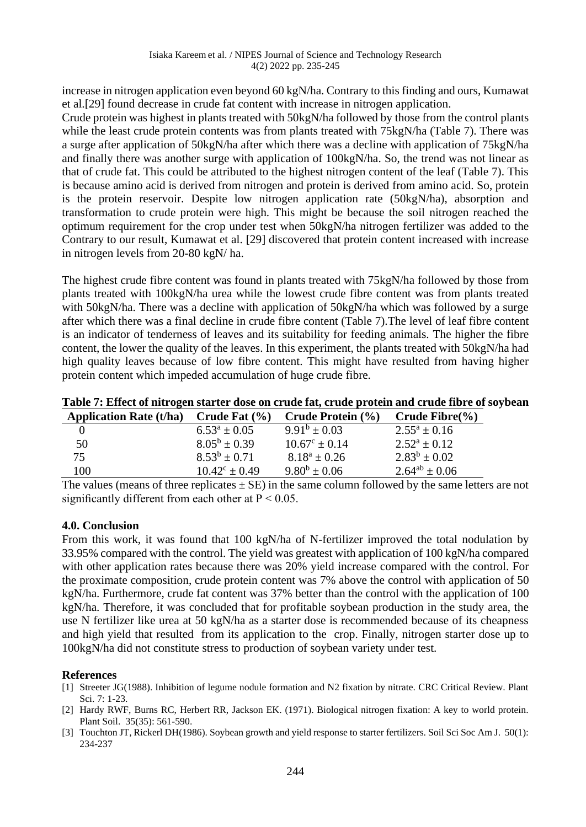increase in nitrogen application even beyond 60 kgN/ha. Contrary to this finding and ours, Kumawat et al.[29] found decrease in crude fat content with increase in nitrogen application.

Crude protein was highest in plants treated with 50kgN/ha followed by those from the control plants while the least crude protein contents was from plants treated with 75kgN/ha (Table 7). There was a surge after application of 50kgN/ha after which there was a decline with application of 75kgN/ha and finally there was another surge with application of 100kgN/ha. So, the trend was not linear as that of crude fat. This could be attributed to the highest nitrogen content of the leaf (Table 7). This is because amino acid is derived from nitrogen and protein is derived from amino acid. So, protein is the protein reservoir. Despite low nitrogen application rate (50kgN/ha), absorption and transformation to crude protein were high. This might be because the soil nitrogen reached the optimum requirement for the crop under test when 50kgN/ha nitrogen fertilizer was added to the Contrary to our result, Kumawat et al. [29] discovered that protein content increased with increase in nitrogen levels from 20-80 kgN/ ha.

The highest crude fibre content was found in plants treated with 75kgN/ha followed by those from plants treated with 100kgN/ha urea while the lowest crude fibre content was from plants treated with 50kgN/ha. There was a decline with application of 50kgN/ha which was followed by a surge after which there was a final decline in crude fibre content (Table 7).The level of leaf fibre content is an indicator of tenderness of leaves and its suitability for feeding animals. The higher the fibre content, the lower the quality of the leaves. In this experiment, the plants treated with 50kgN/ha had high quality leaves because of low fibre content. This might have resulted from having higher protein content which impeded accumulation of huge crude fibre.

| <b>Application Rate (t/ha)</b> | Crude Fat $(\% )$        | Crude Protein (%)        | Crude Fibre $(\% )$  |
|--------------------------------|--------------------------|--------------------------|----------------------|
|                                | $6.53^a \pm 0.05$        | $9.91^b \pm 0.03$        | $2.55^a \pm 0.16$    |
| 50                             | $8.05^b \pm 0.39$        | $10.67^{\circ} \pm 0.14$ | $2.52^a \pm 0.12$    |
| 75                             | $8.53^b \pm 0.71$        | $8.18^a \pm 0.26$        | $2.83^b \pm 0.02$    |
| 100                            | $10.42^{\circ} \pm 0.49$ | $9.80^b \pm 0.06$        | $2.64^{ab} \pm 0.06$ |

**Table 7: Effect of nitrogen starter dose on crude fat, crude protein and crude fibre of soybean**

The values (means of three replicates  $\pm$  SE) in the same column followed by the same letters are not significantly different from each other at  $P < 0.05$ .

#### **4.0. Conclusion**

From this work, it was found that 100 kgN/ha of N-fertilizer improved the total nodulation by 33.95% compared with the control. The yield was greatest with application of 100 kgN/ha compared with other application rates because there was 20% yield increase compared with the control. For the proximate composition, crude protein content was 7% above the control with application of 50 kgN/ha. Furthermore, crude fat content was 37% better than the control with the application of 100 kgN/ha. Therefore, it was concluded that for profitable soybean production in the study area, the use N fertilizer like urea at 50 kgN/ha as a starter dose is recommended because of its cheapness and high yield that resulted from its application to the crop. Finally, nitrogen starter dose up to 100kgN/ha did not constitute stress to production of soybean variety under test.

#### **References**

- [1] Streeter JG(1988). Inhibition of legume nodule formation and N2 fixation by nitrate. CRC Critical Review. Plant Sci. 7: 1-23.
- [2] Hardy RWF, Burns RC, Herbert RR, Jackson EK. (1971). Biological nitrogen fixation: A key to world protein. Plant Soil. 35(35): 561-590.
- [3] Touchton JT, Rickerl DH(1986). Soybean growth and yield response to starter fertilizers. Soil Sci Soc Am J. 50(1): 234-237